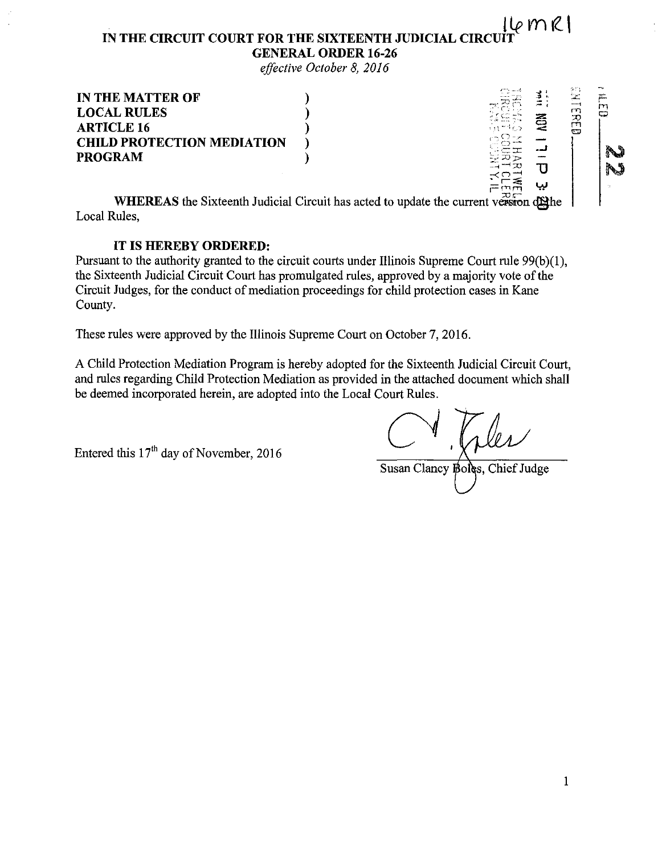#### **16MR1 IN THE CIRCUIT COURT FOR THE SIXTEENTH JUDICIAL CIRC GENERAL ORDER 16-26**

*effective October 8, 2016* 

| <b>IN THE MATTER OF</b>           |     |   | 94.<br>----  |   |
|-----------------------------------|-----|---|--------------|---|
| <b>LOCAL RULES</b>                |     | z | m<br>ズ       | ౧ |
| <b>ARTICLE 16</b>                 |     |   | ليسا<br>6 TO |   |
| <b>CHILD PROTECTION MEDIATION</b> |     |   |              |   |
| <b>PROGRAM</b>                    |     |   |              |   |
|                                   |     |   |              | N |
|                                   | m — |   |              |   |

**WHEREAS** the Sixteenth Judicial Circuit has acted to update the current version of the Local Rules,

#### **IT IS HEREBY ORDERED:**

Pursuant to the authority granted to the circuit courts under Illinois Supreme Court rule 99(b)(1), the Sixteenth Judicial Circuit Court has promulgated rules, approved by a majority vote of the Circuit Judges, for the conduct of mediation proceedings for child protection cases in Kane County.

These rules were approved by the Illinois Supreme Court on October 7, 2016.

A Child Protection Mediation Program is hereby adopted for the Sixteenth Judicial Circuit Court, and rules regarding Child Protection Mediation as provided in the attached document which shall be deemed incorporated herein, are adopted into the Local Court Rules.

Entered this  $17<sup>th</sup>$  day of November, 2016

Susan Clancy Boles, Chief Judge

 $\left| \right|$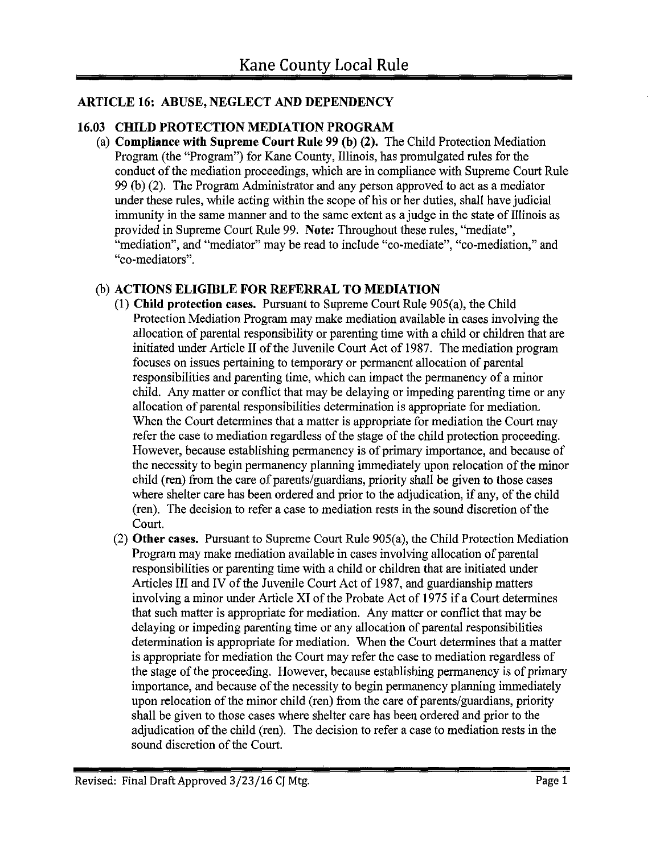# **ARTICLE 16: ABUSE, NEGLECT AND DEPENDENCY**

## **16.03 CHILD PROTECTION MEDIATION PROGRAM**

(a) **Compliance with Supreme Court Rule 99 (b) (2).** The Child Protection Mediation Program (the "Program") for Kane County, Illinois, has promulgated rules for the conduct of the mediation proceedings, which are in compliance with Supreme Court Rule 99 (b) (2). The Program Administrator and any person approved to act as a mediator under these rules, while acting within the scope of his or her duties, shall have judicial immunity in the same manner and to the same extent as a judge in the state of Illinois as provided in Supreme Court Rule 99. **Note:** Throughout these rules, "mediate", "mediation", and "mediator" may be read to include "co-mediate", "co-mediation," and "co-mediators".

## (b) **ACTIONS ELIGIBLE FOR REFERRAL TO MEDIATION**

- (1) **Child protection cases.** Pursuant to Supreme Court Rule 905(a), the Child Protection Mediation Program may make mediation available in cases involving the allocation of parental responsibility or parenting time with a child or children that are initiated under Article II of the Juvenile Court Act of 1987. The mediation program focuses on issues pertaining to temporary or permanent allocation of parental responsibilities and parenting time, which can impact the permanency of a minor child. Any matter or conflict that may be delaying or impeding parenting time or any allocation of parental responsibilities determination is appropriate for mediation. When the Court determines that a matter is appropriate for mediation the Court may refer the case to mediation regardless of the stage of the child protection proceeding. However, because establishing permanency is of primary importance, and because of the necessity to begin permanency planning immediately upon relocation of the minor child (ren) from the care of parents/guardians, priority shall be given to those cases where shelter care has been ordered and prior to the adjudication, if any, of the child (ren). The decision to refer a case to mediation rests in the sound discretion of the Court.
- (2) **Other cases.** Pursuant to Supreme Court Rule 905(a), the Child Protection Mediation Program may make mediation available in cases involving allocation of parental responsibilities or parenting time with a child or children that are initiated under Articles III and IV of the Juvenile Court Act of 1987, and guardianship matters involving a minor under Article XI of the Probate Act of 1975 if a Court determines that such matter is appropriate for mediation. Any matter or conflict that may be delaying or impeding parenting time or any allocation of parental responsibilities determination is appropriate for mediation. When the Court determines that a matter is appropriate for mediation the Court may refer the case to mediation regardless of the stage of the proceeding. However, because establishing permanency is of primary importance, and because of the necessity to begin permanency planning immediately upon relocation of the minor child (ren) from the care of parents/guardians, priority shall be given to those cases where shelter care has been ordered and prior to the adjudication of the child (ren). The decision to refer a case to mediation rests in the sound discretion of the Court.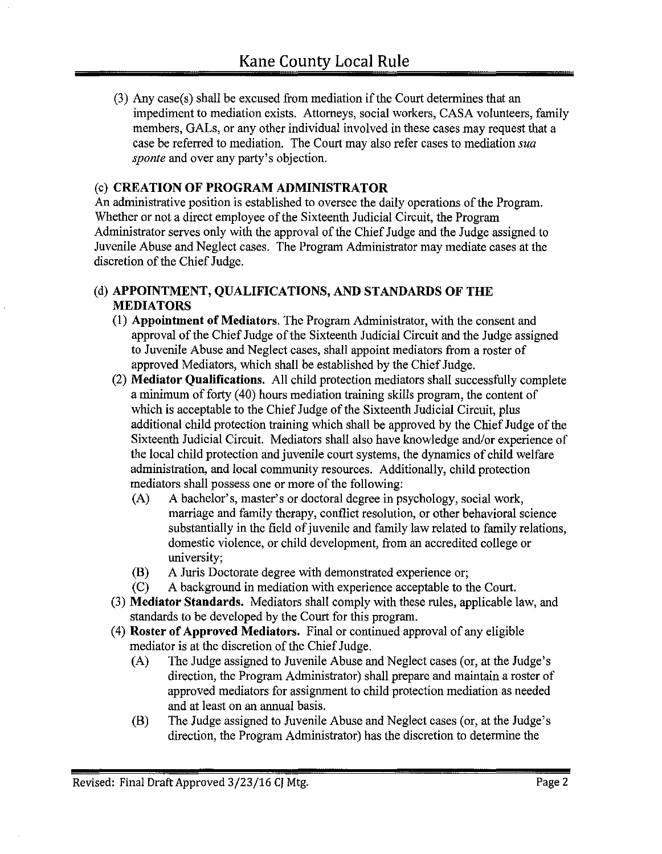(3) Any case(s) shall be excused from mediation if the Court determines that an impediment to mediation exists. Attorneys, social workers, CASA volunteers, family members, GALs, or any other individual involved in these cases may request that a case be referred to mediation. The Court may also refer cases to mediation *sua sponte* and over any party's objection.

# (c) **CREATION OF PROGRAM ADMINISTRATOR**

An administrative position is established to oversee the daily operations of the Program. Whether or not a direct employee of the Sixteenth Judicial Circuit, the Program Administrator serves only with the approval of the Chief Judge and the Judge assigned to Juvenile Abuse and Neglect cases. The Program Administrator may mediate cases at the discretion of the Chief Judge.

#### (d) **APPOINTMENT, QUALIFICATIONS, AND STANDARDS OF THE MEDIATORS**

- (I) **Appointment of Mediators.** The Program Administrator, with the consent and approval of the Chief Judge of the Sixteenth Judicial Circuit and the Judge assigned to Juvenile Abuse and Neglect cases, shall appoint mediators from a roster of approved Mediators, which shall be established by the Chief Judge.
- (2) **Mediator Qualifications.** All child protection mediators shall successfully complete a minimum of forty (40) hours mediation training skills program, the content of which is acceptable to the Chief Judge of the Sixteenth Judicial Circuit, plus additional child protection training which shall be approved by the Chief Judge of the Sixteenth Judicial Circuit. Mediators shall also have knowledge and/or experience of the local child protection and juvenile court systems, the dynamics of child welfare administration, and local community resources. Additionally, child protection mediators shall possess one or more of the following:
	- (A) A bachelor's, master's or doctoral degree in psychology, social work, marriage and family therapy, conflict resolution, or other behavioral science substantially in the field of juvenile and family law related to family relations, domestic violence, or child development, from an accredited college or university;
	- (B) A Juris Doctorate degree with demonstrated experience or;
	- (C) A background in mediation with experience acceptable to the Court.
- (3) **Mediator Standards.** Mediators shall comply with these rules, applicable law, and standards to be developed by the Court for this program.
- ( 4) **Roster of Approved Mediators.** Final or continued approval of any eligible mediator is at the discretion of the Chief Judge.
	- (A) The Judge assigned to Juvenile Abuse and Neglect cases (or, at the Judge's direction, the Program Administrator) shall prepare and maintain a roster of approved mediators for assignment to child protection mediation as needed and at least on an armual basis.
	- (B) The Judge assigned to Juvenile Abuse and Neglect cases (or, at the Judge's direction, the Program Administrator) has the discretion to determine the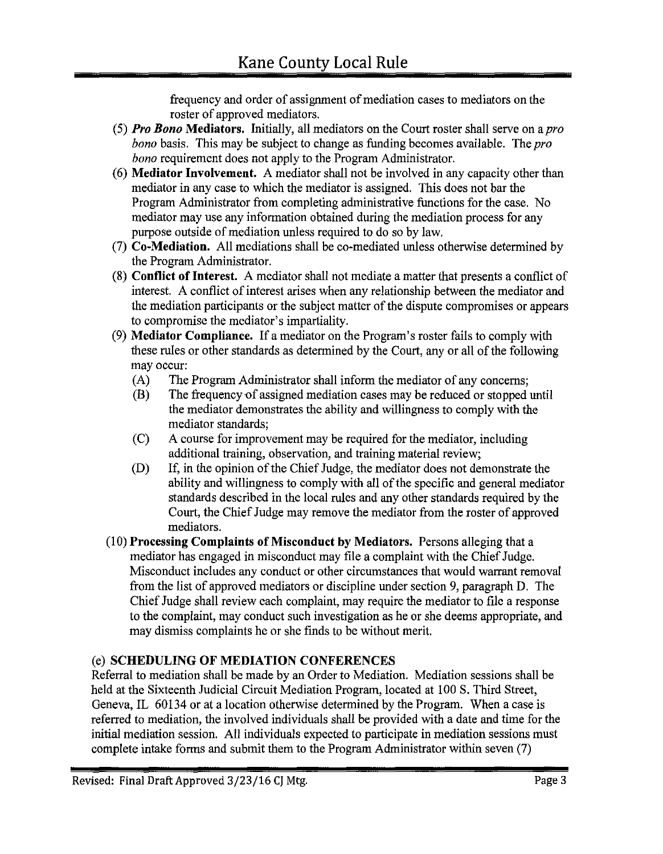frequency and order of assignment of mediation cases to mediators on the roster of approved mediators.

- (5) *Pro Bono* **Mediators.** Initially, all mediators on the Court roster shall serve on a *pro bona* basis. This may be subject to change as funding becomes available. The *pro bono* requirement does not apply to the Program Administrator.
- ( 6) **Mediator Involvement.** A mediator shall not be involved in any capacity other than mediator in any case to which the mediator is assigned. This does not bar the Program Administrator from completing administrative functions for the case. No mediator may use any information obtained during the mediation process for any purpose outside of mediation unless required to do so by law.
- (7) **Co-Mediation.** All mediations shall be co-mediated unless otherwise determined by the Program Administrator.
- (8) **Conflict of Interest.** A mediator shall not mediate a matter that presents a conflict of interest. A conflict of interest arises when any relationship between the mediator and the mediation participants or the subject matter of the dispute compromises or appears to compromise the mediator's impartiality.
- (9) **Mediator Compliance.** If a mediator on the Program's roster fails to comply with these rules or other standards as determined by the Court, any or all of the following may occur:
	- (A) The Program Administrator shall inform the mediator of any concerns;
	- (B) The frequency of assigned mediation cases may be reduced or stopped until the mediator demonstrates the ability and willingness to comply with the mediator standards;
	- (C) A course for improvement may be required for the mediator, including additional training, observation, and training material review;
	- (D) If, in the opinion of the Chief Judge, the mediator does not demonstrate the ability and willingness to comply with all of the specific and general mediator standards described in the local rules and any other standards required by the Court, the Chief Judge may remove the mediator from the roster of approved mediators.
- (I 0) **Processing Complaints of Misconduct by Mediators.** Persons alleging that a mediator has engaged in misconduct may file a complaint with the Chief Judge. Misconduct includes any conduct or other circumstances that would warrant removal from the list of approved mediators or discipline under section 9, paragraph D. The Chief Judge shall review each complaint, may require the mediator to file a response to the complaint, may conduct such investigation as he or she deems appropriate, and may dismiss complaints he or she finds to be without merit.

# (e) **SCHEDULING OF MEDIATION CONFERENCES**

Referral to mediation shall be made by an Order to Mediation. Mediation sessions shall be held at the Sixteenth Judicial Circuit Mediation Program, located at I 00 S. Third Street, Geneva, IL 60134 or at a location otherwise determined by the Program. When a case is referred to mediation, the involved individuals shall be provided with a date and time for the initial mediation session. All individuals expected to participate in mediation sessions must complete intake forms and submit them to the Program Administrator within seven (7)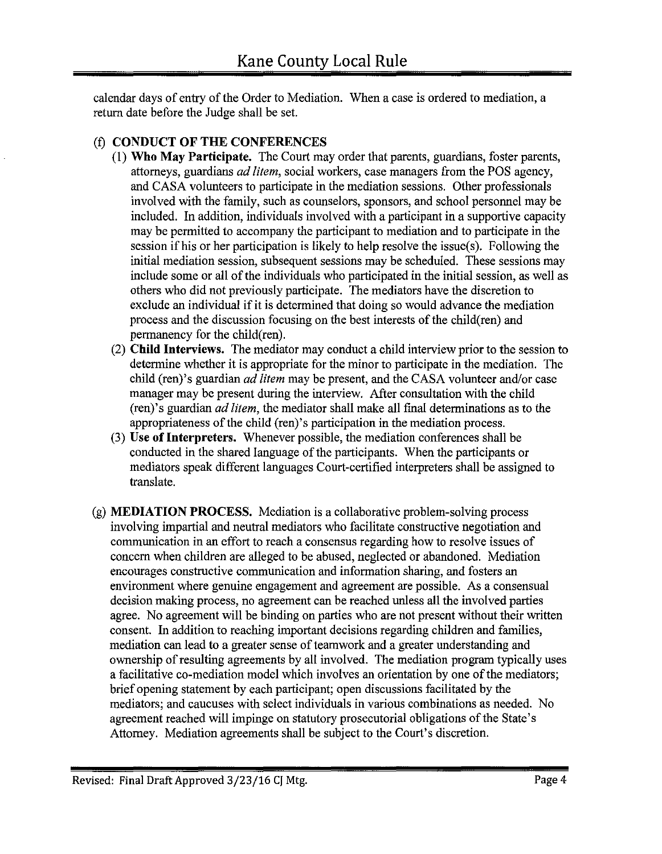calendar days of entry of the Order to Mediation. When a case is ordered to mediation, a return date before the Judge shall be set.

# (f) CONDUCT OF THE CONFERENCES

- (1) Who May Participate. The Court may order that parents, guardians, foster parents, attorneys, guardians *ad !item,* social workers, case managers from the POS agency, and CASA volunteers to participate in the mediation sessions. Other professionals involved with the family, such as counselors, sponsors, and school personnel may be included. In addition, individuals involved with a participant in a supportive capacity may be permitted to accompany the participant to mediation and to participate in the session if his or her participation is likely to help resolve the issue(s). Following the initial mediation session, subsequent sessions may be scheduled. These sessions may include some or all of the individuals who participated in the initial session, as well as others who did not previously participate. The mediators have the discretion to exclude an individual if it is determined that doing so would advance the mediation process and the discussion focusing on the best interests of the child(ren) and permanency for the child(ren).
- (2) Child Interviews. The mediator may conduct a child interview prior to the session to determine whether it is appropriate for the minor to participate in the mediation. The child (ren)'s guardian *ad !item* may be present, and the CASA volunteer and/or case manager may be present during the interview. After consultation with the child (ren)'s guardian *ad !item,* the mediator shall make all final determinations as to the appropriateness of the child (ren)'s participation in the mediation process.
- (3) Use of Interpreters. Whenever possible, the mediation conferences shall be conducted in the shared language of the participants. When the participants or mediators speak different languages Court-certified interpreters shall be assigned to translate.
- (g) MEDIATION PROCESS. Mediation is a collaborative problem-solving process involving impartial and neutral mediators who facilitate constructive negotiation and communication in an effort to reach a consensus regarding how to resolve issues of concern when children are alleged to be abused, neglected or abandoned. Mediation encourages constructive communication and information sharing, and fosters an environment where genuine engagement and agreement are possible. As a consensual decision making process, no agreement can be reached unless all the involved parties agree. No agreement will be binding on parties who are not present without their written consent. In addition to reaching important decisions regarding children and families, mediation can lead to a greater sense of teamwork and a greater understanding and ownership of resulting agreements by all involved. The mediation program typically uses a facilitative co-mediation model which involves an orientation by one of the mediators; brief opening statement by each participant; open discussions facilitated by the mediators; and caucuses with select individuals in various combinations as needed. No agreement reached will impinge on statutory prosecutorial obligations of the State's Attorney. Mediation agreements shall be subject to the Court's discretion.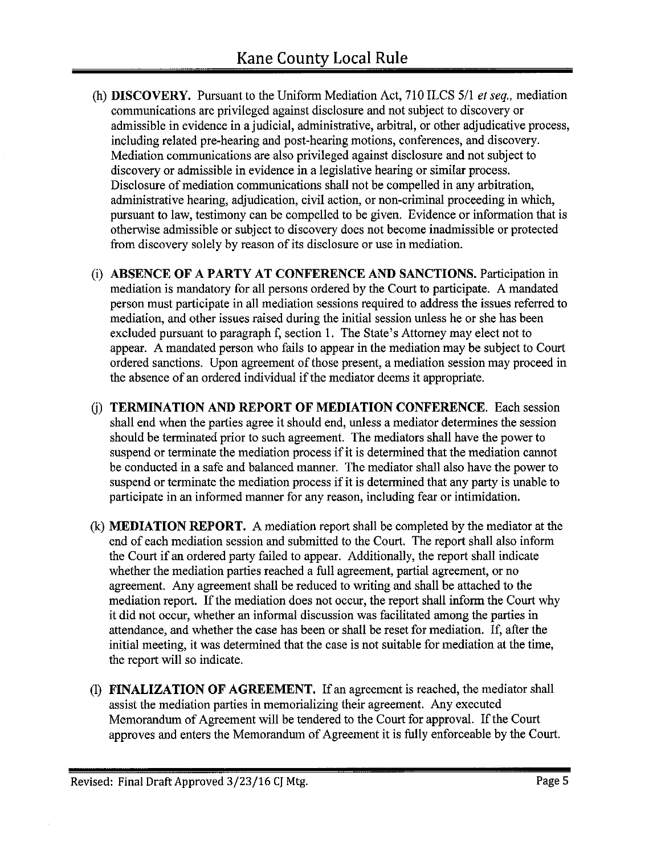- (h) **DISCOVERY.** Pursuant to the Uniform Mediation Act, 710 ILCS 5/1 *et seq.,* mediation communications are privileged against disclosure and not subject to discovery or admissible in evidence in a judicial, administrative, arbitral, or other adjudicative process, including related pre-hearing and post-hearing motions, conferences, and discovery. Mediation communications are also privileged against disclosure and not subject to discovery or admissible in evidence in a legislative hearing or similar process. Disclosure of mediation communications shall not be compelled in any arbitration, administrative hearing, adjudication, civil action, or non-criminal proceeding in which, pursuant to law, testimony can be compelled to be given. Evidence or information that is otherwise admissible or subject to discovery does not become inadmissible or protected from discovery solely by reason of its disclosure or use in mediation.
- (i) **ABSENCE OF A PARTY AT CONFERENCE AND SANCTIONS.** Participation in mediation is mandatory for all persons ordered by the Court to participate. A mandated person must participate in all mediation sessions required to address the issues referred to mediation, and other issues raised during the initial session unless he or she has been excluded pursuant to paragraph f, section 1. The State's Attorney may elect not to appear. A mandated person who fails to appear in the mediation may be subject to Court ordered sanctions. Upon agreement of those present, a mediation session may proceed in the absence of an ordered individual if the mediator deems it appropriate.
- G) **TERMINATION AND REPORT OF MEDIATION CONFERENCE.** Each session shall end when the parties agree it should end, unless a mediator determines the session should be terminated prior to such agreement. The mediators shall have the power to suspend or terminate the mediation process if it is determined that the mediation cannot be conducted in a safe and balanced manner. The mediator shall also have the power to suspend or terminate the mediation process if it is determined that any party is unable to participate in an informed manner for any reason, including fear or intimidation.
- (k) **MEDIATION REPORT.** A mediation report shall be completed by the mediator at the end of each mediation session and submitted to the Court. The report shall also inform the Court if an ordered party failed to appear. Additionally, the report shall indicate whether the mediation parties reached a full agreement, partial agreement, or no agreement. Any agreement shall be reduced to writing and shall be attached to the mediation report. If the mediation does not occur, the report shall inform the Court why it did not occur, whether an informal discussion was facilitated among the parties in attendance, and whether the case has been or shall be reset for mediation. If, after the initial meeting, it was determined that the case is not suitable for mediation at the time, the report will so indicate.
- (1) **FINALIZATION OF AGREEMENT.** If an agreement is reached, the mediator shall assist the mediation parties in memorializing their agreement. Any executed Memorandum of Agreement will be tendered to the Court for approval. If the Court approves and enters the Memorandum of Agreement it is fully enforceable by the Court.